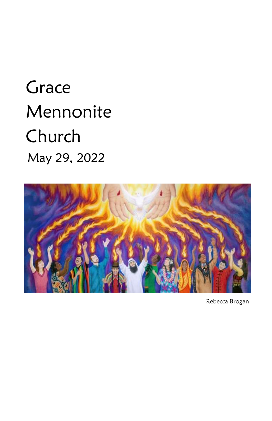# **Grace**  Mennonite Church May 29, 2022



Rebecca Brogan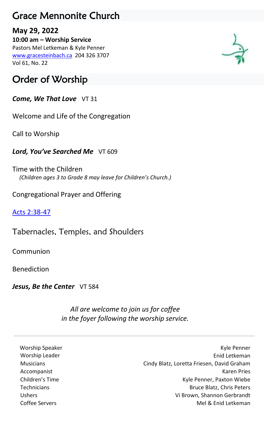## Grace Mennonite Church

#### **May 29, 2022**

**10:00 am – Worship Service** Pastors Mel Letkeman & Kyle Penner [www.gracesteinbach.ca](http://www.gracesteinbach.ca/) 204 326 3707 Vol 61, No. 22

# Order of Worship

*Come, We That Love* VT 31

Welcome and Life of the Congregation

Call to Worship

*Lord, You've Searched Me* VT 609

Time with the Children  *(Children ages 3 to Grade 8 may leave for Children's Church.)*

Congregational Prayer and Offering

[Acts 2:38-47](https://www.biblegateway.com/passage/?search=Acts+2%3A38-47&version=NRSVUE)

Tabernacles, Temples, and Shoulders

Communion

Benediction

Jesus, Be the Center VT 584

*All are welcome to join us for coffee in the foyer following the worship service.*

Worship Speaker **Kyle Penner** Kyle Penner Kyle Penner Worship Leader **Enid Letkeman Enid Letkeman**  Musicians Cindy Blatz, Loretta Friesen, David Graham Accompanist **Karen Pries** Karen Pries **Karen Pries (Karen Pries Karen Pries Karen Pries Karen Pries Karen Pries Karen Pries Karen Pries Karen Pries Karen Pries Karen Pries Karen Pries Karen Pries Karen Pries Karen II. Anal** Children's Time **Kyle Penner, Paxton Wiebe** Technicians **Bruce Blatz, Chris Peters Bruce Blatz**, Chris Peters Ushers Vi Brown, Shannon Gerbrandt Coffee Servers Mel & Enid Letkeman

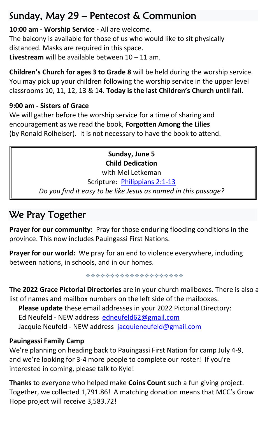# Sunday, May 29 – Pentecost & Communion

**10:00 am - Worship Service -** All are welcome. The balcony is available for those of us who would like to sit physically distanced. Masks are required in this space. **Livestream** will be available between 10 – 11 am.

**Children's Church for ages 3 to Grade 8** will be held during the worship service. You may pick up your children following the worship service in the upper level classrooms 10, 11, 12, 13 & 14. **Today is the last Children's Church until fall.**

#### **9:00 am - Sisters of Grace**

We will gather before the worship service for a time of sharing and encouragement as we read the book, **Forgotten Among the Lilies**  (by Ronald Rolheiser). It is not necessary to have the book to attend.

> **Sunday, June 5 Child Dedication**

with Mel Letkeman Scripture: [Philippians 2:1-13](https://www.biblegateway.com/passage/?search=Philippians+2%3A1-13&version=NRSVUE)

*Do you find it easy to be like Jesus as named in this passage?*

# We Pray Together

**Prayer for our community:** Pray for those enduring flooding conditions in the province. This now includes Pauingassi First Nations.

**Prayer for our world:** We pray for an end to violence everywhere, including between nations, in schools, and in our homes.

**The 2022 Grace Pictorial Directories** are in your church mailboxes. There is also a list of names and mailbox numbers on the left side of the mailboxes.

**Please update** these email addresses in your 2022 Pictorial Directory: Ed Neufeld - NEW address [edneufeld62@gmail.com](mailto:edneufeld62@gmail.com) Jacquie Neufeld - NEW address [jacquieneufeld@gmail.com](mailto:jacquieneufeld@gmail.com)

#### **Pauingassi Family Camp**

We're planning on heading back to Pauingassi First Nation for camp July 4-9, and we're looking for 3-4 more people to complete our roster! If you're interested in coming, please talk to Kyle!

**Thanks** to everyone who helped make **Coins Count** such a fun giving project. Together, we collected 1,791.86! A matching donation means that MCC's Grow Hope project will receive 3,583.72!